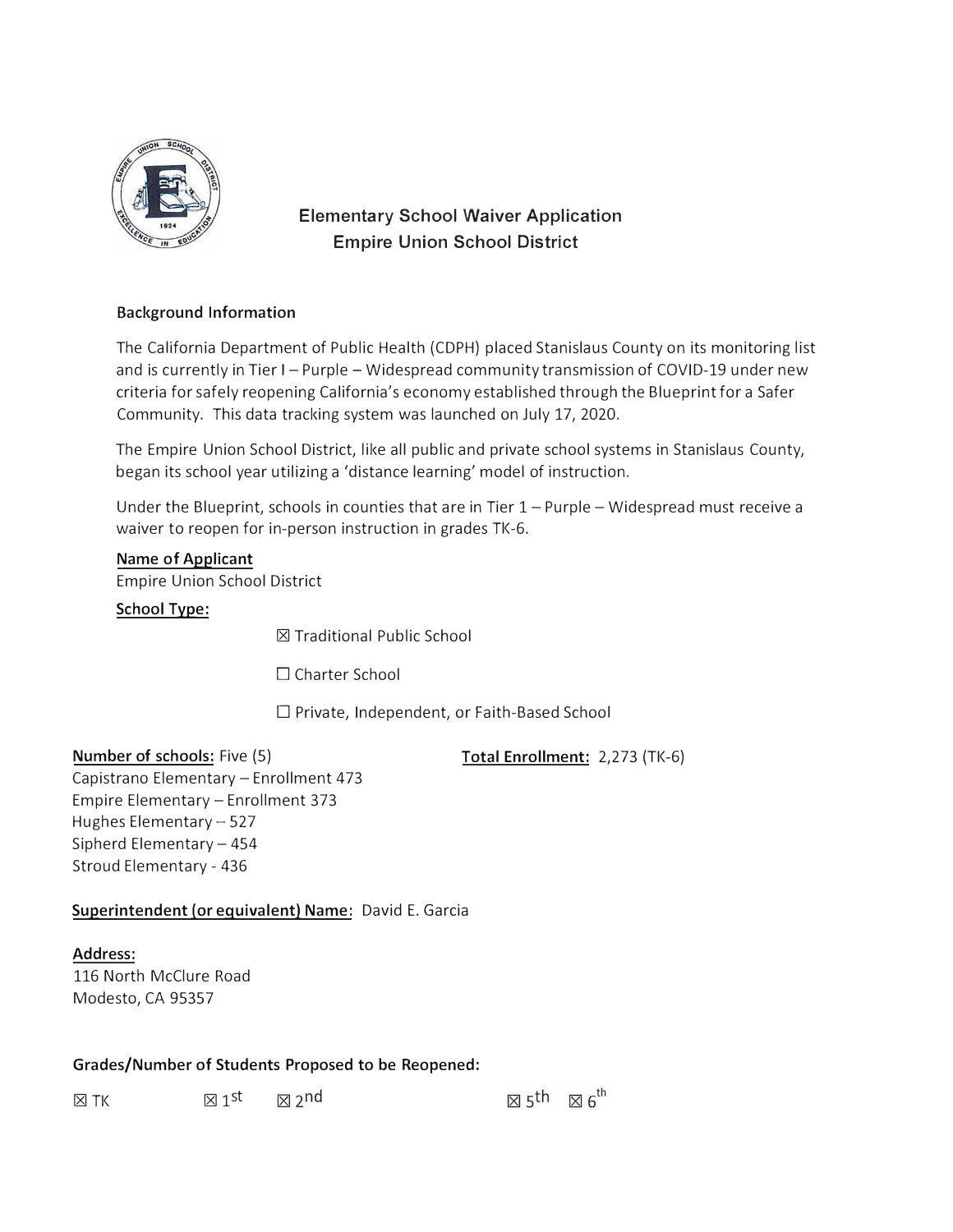

# **Elementary School Waiver Application Empire Union School District**

# **Background Information**

The California Department of Public Health {CDPH) placed Stanislaus County on its monitoring list and is currently in Tier I – Purple – Widespread community transmission of COVID-19 under new criteria for safely reopening California's economy established through the Blueprint for a Safer Community. This data tracking system was launched on July 17, 2020.

The Empire Union School District, like all public and private school systems in Stanislaus County, began its school year utilizing a 'distance learning' model of instruction.

Under the Blueprint, schools in counties that are in Tier  $1$  – Purple – Widespread must receive a waiver to reopen for in-person instruction in grades TK-6.

### **Name of Applicant**

Empire Union School District

**School Type:** 

� Traditional Public School

□ Charter School

□ Private, Independent, or Faith-Based School

**Number of schools:** Five (5) **Total Enrollment:** 2,273 (TK-6)

Capistrano Elementary- Enrollment 473 Empire Elementary - Enrollment 373 Hughes Elementary  $-527$ Sipherd Elementary - 454 Stroud Elementary - 436

# **Superintendent (or equivalent) Name:** David E. Garcia

**Address:**  116 North McClure Road Modesto, CA 95357

### **Grades/Number of Students Proposed to be Reopened:**

| $\boxtimes$ TK | $\boxtimes$ 1st $\boxtimes$ 2nd | $\boxtimes$ 5 <sup>th</sup> $\boxtimes$ 6 <sup>th</sup> |  |
|----------------|---------------------------------|---------------------------------------------------------|--|
|                |                                 |                                                         |  |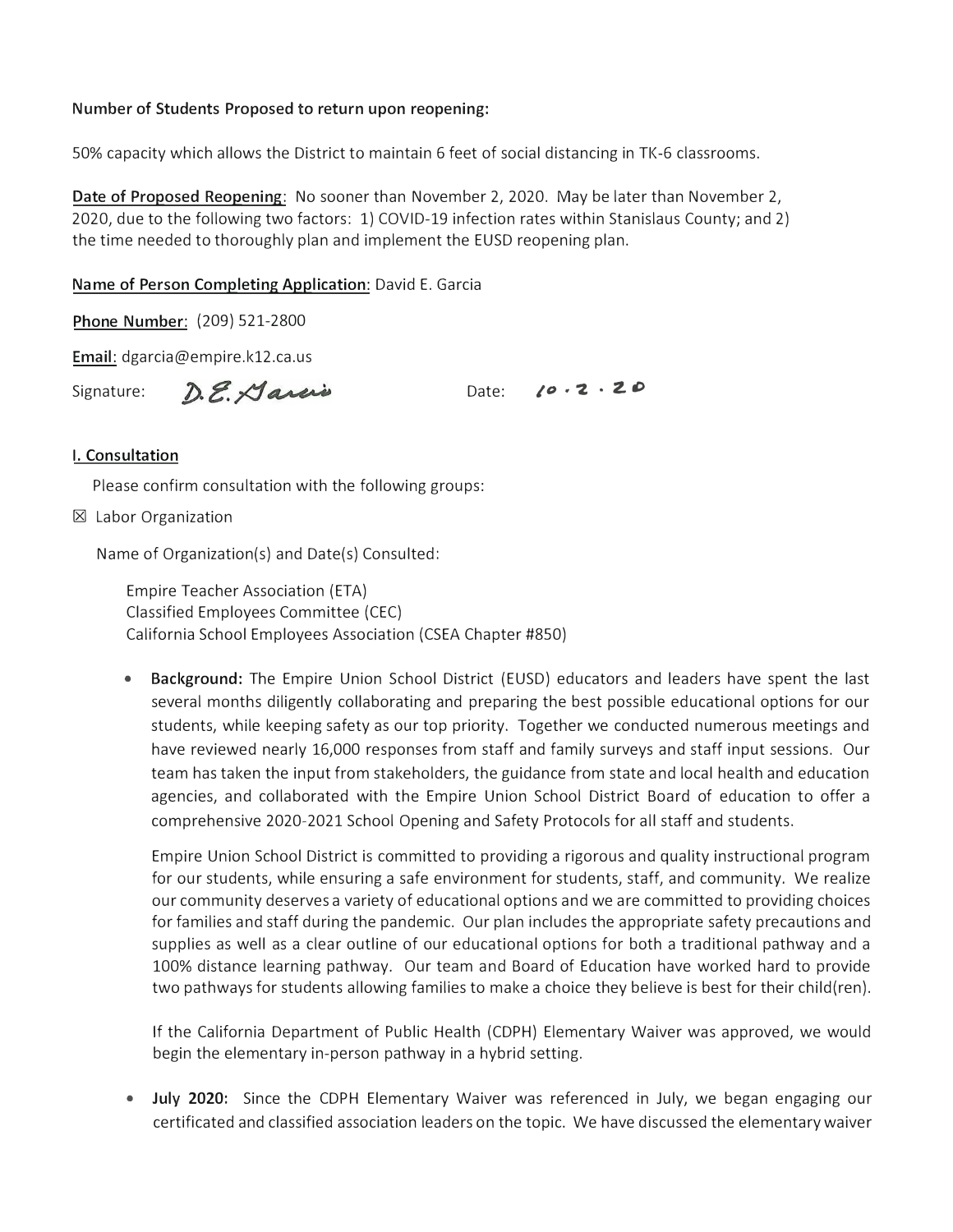#### **Number of Students Proposed to return upon reopening:**

50% capacity which allows the District to maintain 6 feet of social distancing in TK-6 classrooms.

**Date of Proposed Reopening:** No sooner than November 2, 2020. May be later than November 2, 2020, due to the following two factors: 1) COVID-19 infection rates within Stanislaus County; and 2) the time needed to thoroughly plan and implement the EUSD reopening plan.

#### **Name of Person Completing Application:** David E. Garcia

D. E. Garcio

**Phone Number:** {209) 521-2800

**Email:** dgarcia@empire.kl2.ca.us

Signature:

Date: **10 . 2 . 2 D** 

#### **I. Consultation**

Please confirm consultation with the following groups:

 $\boxtimes$  Labor Organization

Name of Organization(s) and Date(s) Consulted:

Empire Teacher Association (ETA) Classified Employees Committee {CEC) California School Employees Association {CSEA Chapter #850)

• **Background:** The Empire Union School District (EUSD) educators and leaders have spent the last several months diligently collaborating and preparing the best possible educational options for our students, while keeping safety as our top priority. Together we conducted numerous meetings and have reviewed nearly 16,000 responses from staff and family surveys and staff input sessions. Our team has taken the input from stakeholders, the guidance from state and local health and education agencies, and collaborated with the Empire Union School District Board of education to offer a comprehensive 2020-2021 School Opening and Safety Protocols for all staff and students.

Empire Union School District is committed to providing a rigorous and quality instructional program for our students, while ensuring a safe environment for students, staff, and community. We realize our community deserves a variety of educational options and we are committed to providing choices for families and staff during the pandemic. Our plan includes the appropriate safety precautions and supplies as well as a clear outline of our educational options for both a traditional pathway and a 100% distance learning pathway. Our team and Board of Education have worked hard to provide two pathways for students allowing families to make a choice they believe is best for their child{ren).

If the California Department of Public Health (CDPH) Elementary Waiver was approved, we would begin the elementary in-person pathway in a hybrid setting.

• **July 2020:** Since the CDPH Elementary Waiver was referenced in July, we began engaging our certificated and classified association leaders on the topic. We have discussed the elementary waiver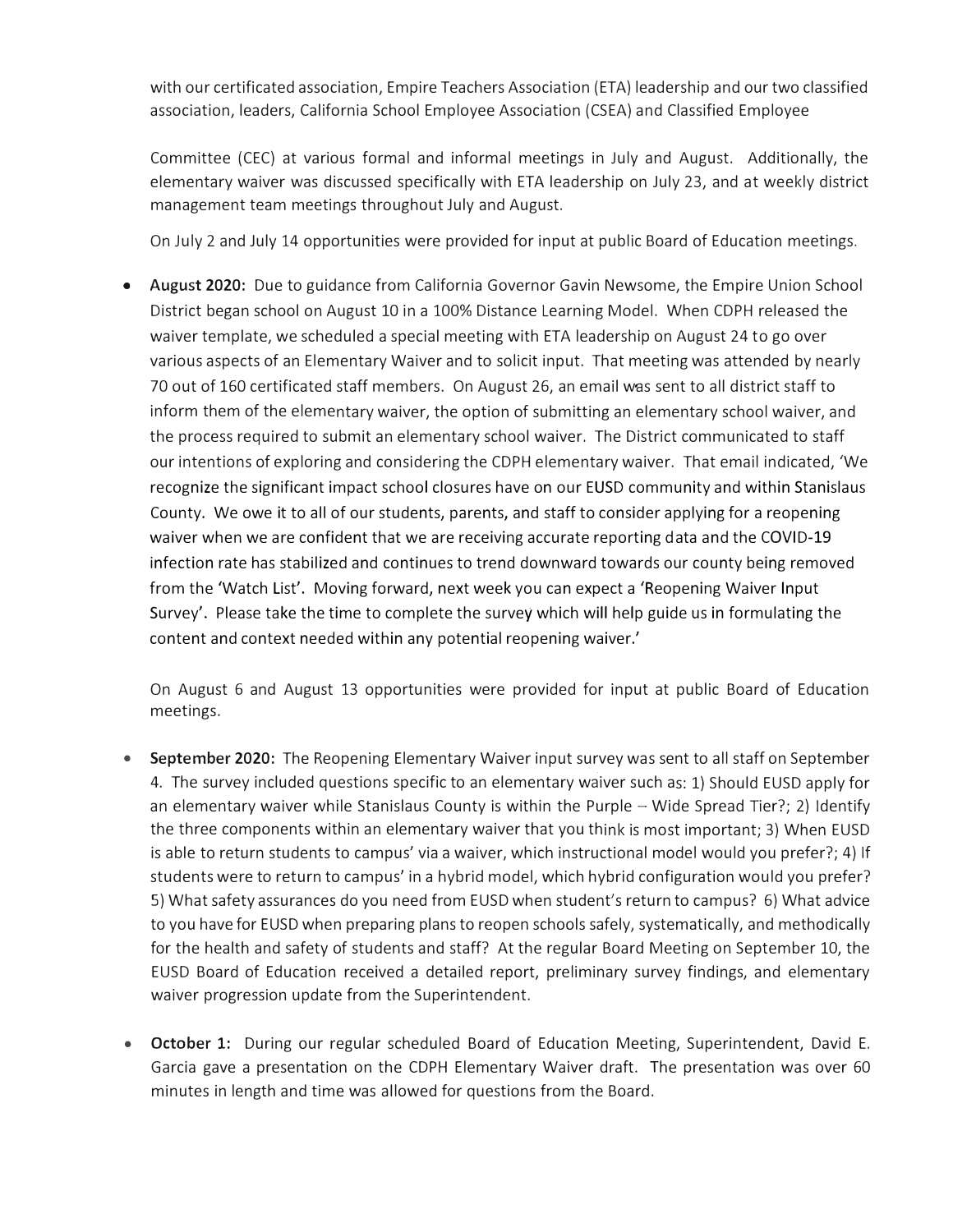with our certificated association, Empire Teachers Association (ETA) leadership and our two classified association, leaders, California School Employee Association (CSEA) and Classified Employee

Committee (CEC) at various formal and informal meetings in July and August. Additionally, the elementary waiver was discussed specifically with ETA leadership on July 23, and at weekly district management team meetings throughout July and August.

On July 2 and July 14 opportunities were provided for input at public Board of Education meetings.

• **August 2020:** Due to guidance from California Governor Gavin Newsome, the Empire Union School District began school on August 10 in a 100% Distance Learning Model. When CDPH released the waiver template, we scheduled a special meeting with ETA leadership on August 24 to go over various aspects of an Elementary Waiver and to solicit input. That meeting was attended by nearly 70 out of 160 certificated staff members. On August 26, an email was sent to all district staff to inform them of the elementary waiver, the option of submitting an elementary school waiver, and the process required to submit an elementary school waiver. The District communicated to staff our intentions of exploring and considering the CDPH elementary waiver. That email indicated, 'We recognize the significant impact school closures have on our EUSD community and within Stanislaus County. We owe it to all of our students, parents, and staff to consider applying for a reopening waiver when we are confident that we are receiving accurate reporting data and the COVID-19 infection rate has stabilized and continues to trend downward towards our county being removed from the 'Watch List'. Moving forward, next week you can expect a 'Reopening Waiver Input Survey'. Please take the time to complete the survey which will help guide us in formulating the content and context needed within any potential reopening waiver.'

On August 6 and August 13 opportunities were provided for input at public Board of Education meetings.

- **September 2020:** The Reopening Elementary Waiver input survey was sent to all staff on September 4. The survey included questions specific to an elementary waiver such as: 1) Should EUSD apply for an elementary waiver while Stanislaus County is within the Purple  $-$  Wide Spread Tier?; 2) Identify the three components within an elementary waiver that you think is most important; 3) When EUSD is able to return students to campus' via a waiver, which instructional model would you prefer?; 4) If students were to return to campus' in a hybrid model, which hybrid configuration would you prefer? 5) What safety assurances do you need from EUSD when student's return to campus? 6) What advice to you have for EUSD when preparing plans to reopen schools safely, systematically, and methodically for the health and safety of students and staff? At the regular Board Meeting on September 10, the EUSD Board of Education received a detailed report, preliminary survey findings, and elementary waiver progression update from the Superintendent.
- **October 1:** During our regular scheduled Board of Education Meeting, Superintendent, David E. Garcia gave a presentation on the CDPH Elementary Waiver draft. The presentation was over 60 minutes in length and time was allowed for questions from the Board.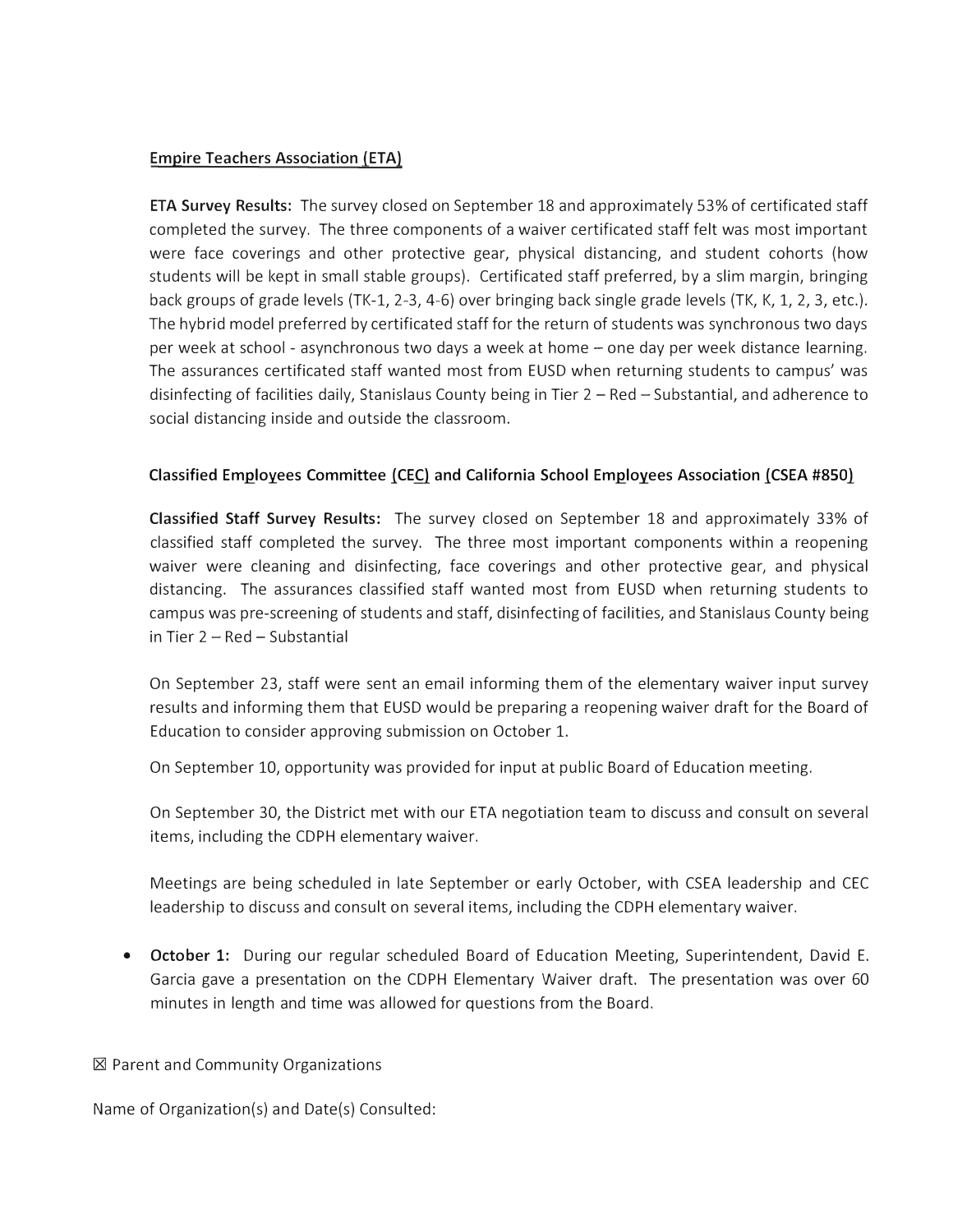## **Empire Teachers Association (ETA)**

**ETA Survey Results:** The survey closed on September 18 and approximately 53% of certificated staff completed the survey. The three components of a waiver certificated staff felt was most important were face coverings and other protective gear, physical distancing, and student cohorts (how students will be kept in small stable groups). Certificated staff preferred, by a slim margin, bringing back groups of grade levels (TK-1, 2-3, 4-6) over bringing back single grade levels (TK, K, 1, 2, 3, etc.). The hybrid model preferred by certificated staff for the return of students was synchronous two days per week at school - asynchronous two days a week at home - one day per week distance learning. The assurances certificated staff wanted most from EUSD when returning students to campus' was disinfecting of facilities daily, Stanislaus County being in Tier 2 - Red - Substantial, and adherence to social distancing inside and outside the classroom.

# **Classified Employees Committee (CEC) and California School Employees Association (CSEA #850)**

**Classified Staff Survey Results:** The survey closed on September 18 and approximately 33% of classified staff completed the survey. The three most important components within a reopening waiver were cleaning and disinfecting, face coverings and other protective gear, and physical distancing. The assurances classified staff wanted most from EUSD when returning students to campus was pre-screening of students and staff, disinfecting of facilities, and Stanislaus County being in Tier  $2 - Red - Substantial$ 

On September 23, staff were sent an email informing them of the elementary waiver input survey results and informing them that EUSD would be preparing a reopening waiver draft for the Board of Education to consider approving submission on October 1.

On September 10, opportunity was provided for input at public Board of Education meeting.

On September 30, the District met with our ETA negotiation team to discuss and consult on several items, including the CDPH elementary waiver.

Meetings are being scheduled in late September or early October, with CSEA leadership and CEC leadership to discuss and consult on several items, including the CDPH elementary waiver.

• **October 1:** During our regular scheduled Board of Education Meeting, Superintendent, David E. Garcia gave a presentation on the CDPH Elementary Waiver draft. The presentation was over 60 minutes in length and time was allowed for questions from the Board.

### $\boxtimes$  Parent and Community Organizations

Name of Organization(s) and Date(s) Consulted: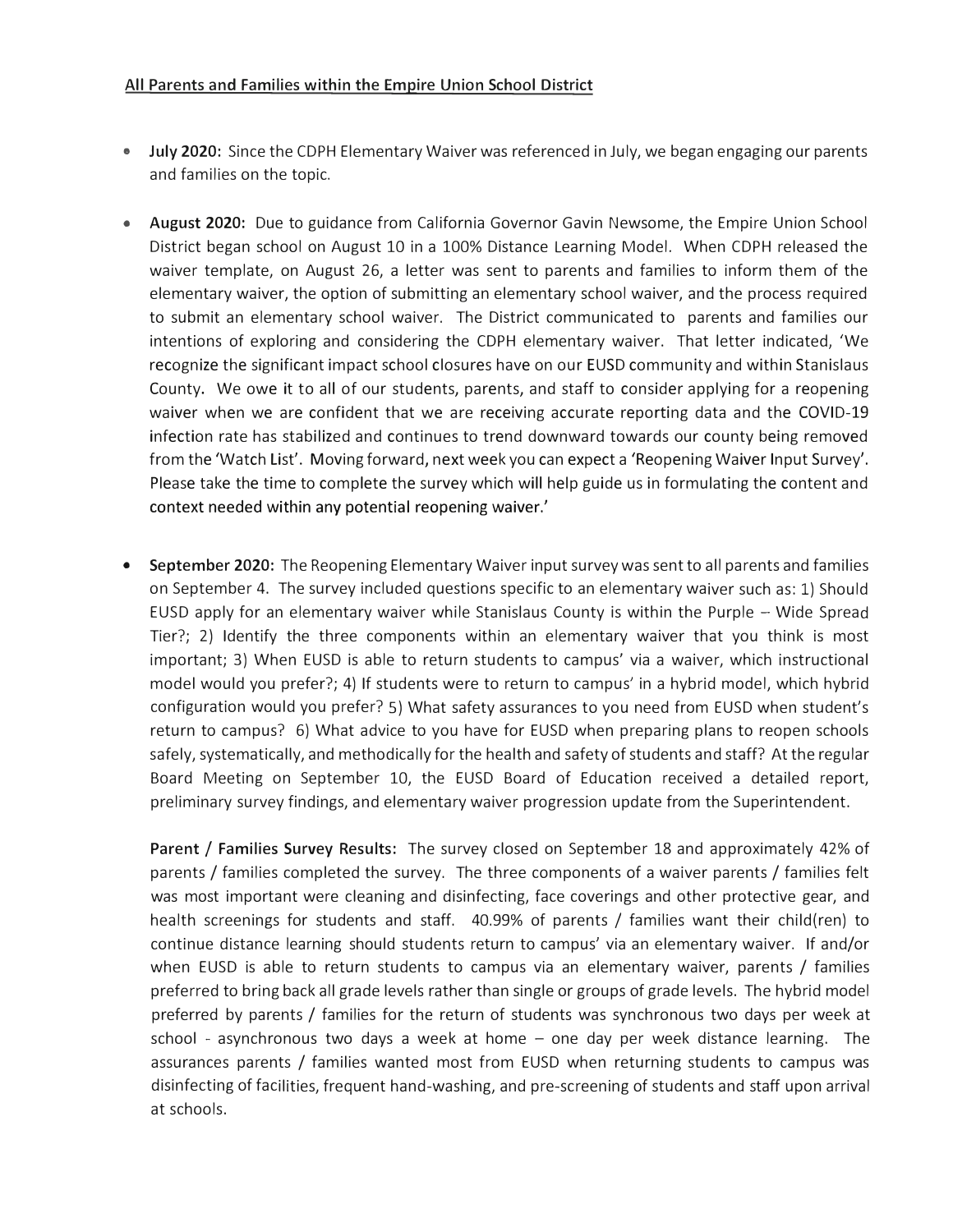- **July 2020:** Since the CDPH Elementary Waiver was referenced in July, we began engaging our parents and families on the topic.
- **August 2020:** Due to guidance from California Governor Gavin Newsome, the Empire Union School District began school on August 10 in a 100% Distance Learning Model. When CDPH released the waiver template, on August 26, a letter was sent to parents and families to inform them of the elementary waiver, the option of submitting an elementary school waiver, and the process required to submit an elementary school waiver. The District communicated to parents and families our intentions of exploring and considering the CDPH elementary waiver. That letter indicated, 'We recognize the significant impact school closures have on our EUSD community and within Stanislaus County. We owe it to all of our students, parents, and staff to consider applying for a reopening waiver when we are confident that we are receiving accurate reporting data and the COVID-19 infection rate has stabilized and continues to trend downward towards our county being removed from the 'Watch List'. Moving forward, next week you can expect a 'Reopening Waiver Input Survey'. Please take the time to complete the survey which will help guide us in formulating the content and **context needed within any potential reopening waiver.'**
- **September 2020:** The Reopening Elementary Waiver input survey was sent to all parents and families on September 4. The survey included questions specific to an elementary waiver such as: 1) Should EUSD apply for an elementary waiver while Stanislaus County is within the Purple - Wide Spread Tier?; 2} Identify the three components within an elementary waiver that you think is most important; 3) When EUSD is able to return students to campus' via a waiver, which instructional model would you prefer?; 4) If students were to return to campus' in a hybrid model, which hybrid configuration would you prefer? 5} What safety assurances to you need from EUSD when student's return to campus? 6) What advice to you have for EUSD when preparing plans to reopen schools safely, systematically, and methodically for the health and safety of students and staff? At the regular Board Meeting on September 10, the EUSD Board of Education received a detailed report, preliminary survey findings, and elementary waiver progression update from the Superintendent.

**Parent** / **Families Survey Results:** The survey closed on September 18 and approximately 42% of parents / families completed the survey. The three components of a waiver parents / families felt was most important were cleaning and disinfecting, face coverings and other protective gear, and health screenings for students and staff. 40.99% of parents / families want their child(ren) to continue distance learning should students return to campus' via an elementary waiver. If and/or when EUSD is able to return students to campus via an elementary waiver, parents / families preferred to bring back all grade levels rather than single or groups of grade levels. The hybrid model preferred by parents / families for the return of students was synchronous two days per week at school - asynchronous two days a week at home - one day per week distance learning. The assurances parents / families wanted most from EUSD when returning students to campus was disinfecting of facilities, frequent hand-washing, and pre-screening of students and staff upon arrival at schools.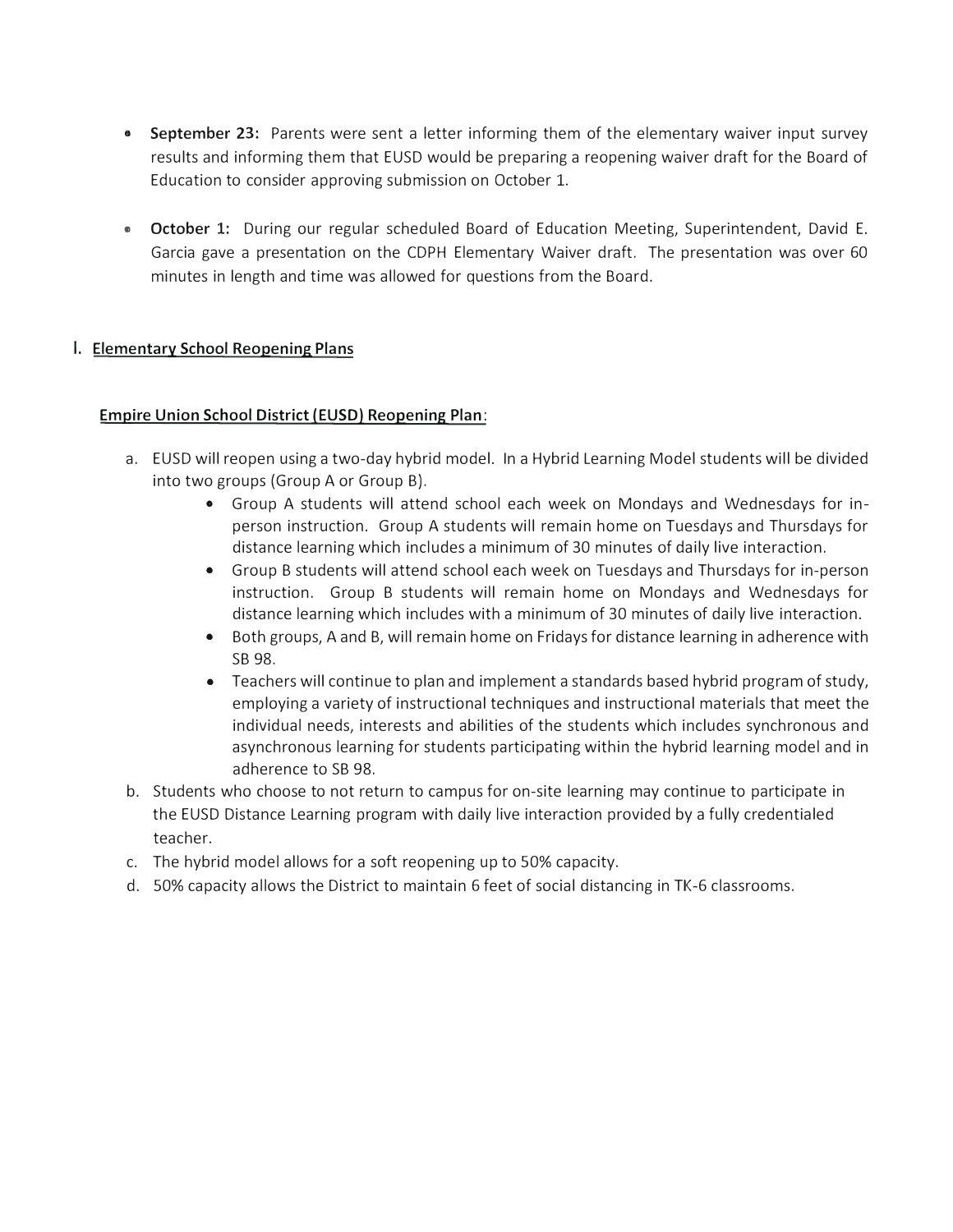- **September 23:** Parents were sent a letter informing them of the elementary waiver input survey results and informing them that EUSD would be preparing a reopening waiver draft for the Board of Education to consider approving submission on October 1.
- **October 1:** During our regular scheduled Board of Education Meeting, Superintendent, David E. Garcia gave a presentation on the CDPH Elementary Waiver draft. The presentation was over 60 minutes in length and time was allowed for questions from the Board.

# **I. Elementary School Reopening Plans**

# **Empire Union School District (EUSD) Reopening Plan:**

- a. EUSD will reopen using a two-day hybrid model. In a Hybrid Learning Model students will be divided into two groups (Group A or Group B).
	- Group A students will attend school each week on Mondays and Wednesdays for inperson instruction. Group A students will remain home on Tuesdays and Thursdays for distance learning which includes a minimum of 30 minutes of daily live interaction.
	- Group B students will attend school each week on Tuesdays and Thursdays for in-person instruction. Group B students will remain home on Mondays and Wednesdays for distance learning which includes with a minimum of 30 minutes of daily live interaction.
	- Both groups, A and B, will remain home on Fridays for distance learning in adherence with SB 98.
	- Teachers will continue to plan and implement a standards based hybrid program of study, employing a variety of instructional techniques and instructional materials that meet the individual needs, interests and abilities of the students which includes synchronous and asynchronous learning for students participating within the hybrid learning model and in adherence to SB 98.
- b. Students who choose to not return to campus for on-site learning may continue to participate in the EUSD Distance Learning program with daily live interaction provided by a fully credentialed teacher.
- c. The hybrid model allows for a soft reopening up to 50% capacity.
- d. 50% capacity allows the District to maintain 6 feet of social distancing in TK-6 classrooms.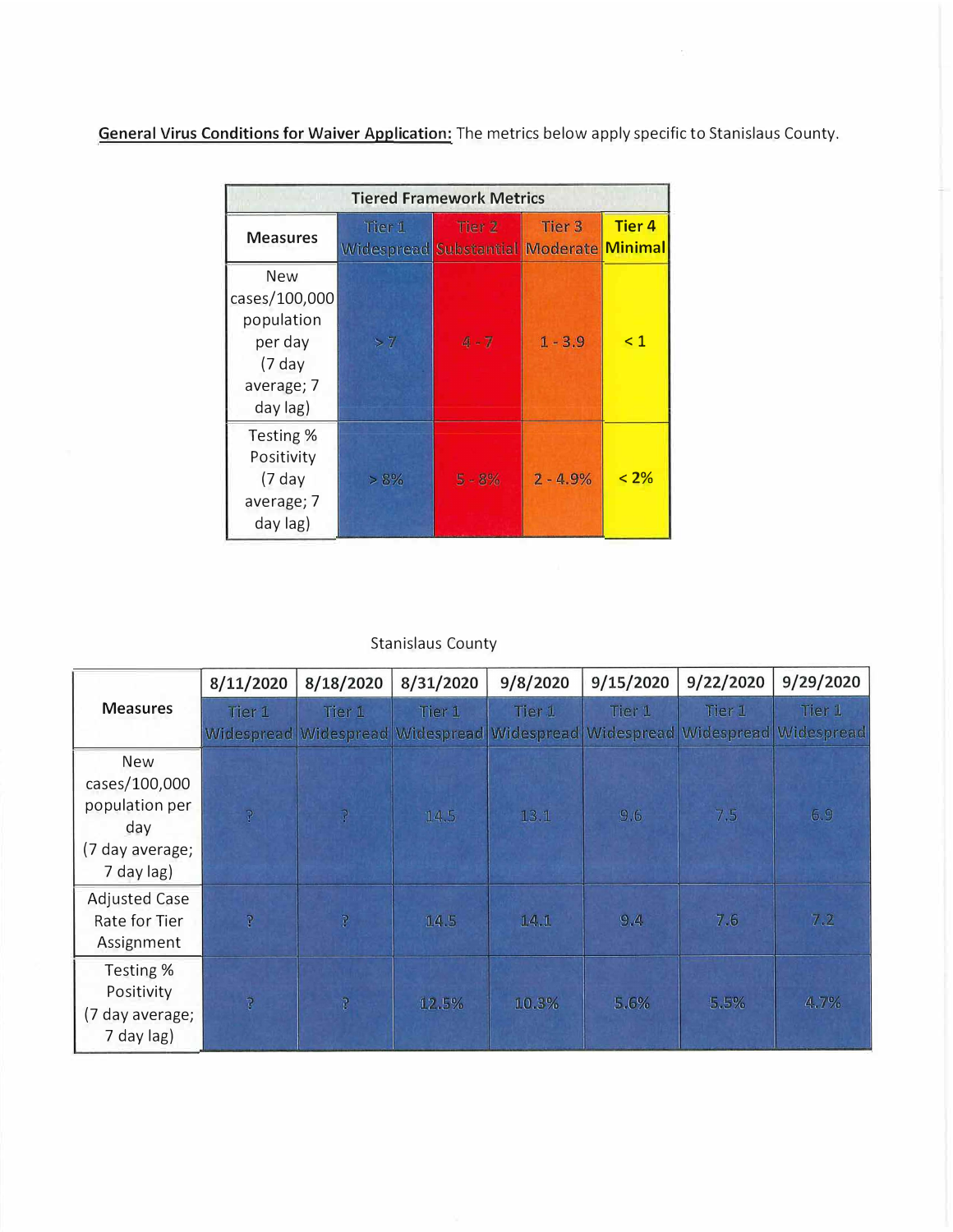**General Virus Conditions for Waiver Application:** The metrics below apply specific to Stanislaus County.

| <b>Tiered Framework Metrics</b>                                                      |                                                   |          |            |               |  |  |  |  |
|--------------------------------------------------------------------------------------|---------------------------------------------------|----------|------------|---------------|--|--|--|--|
| <b>Measures</b>                                                                      | Tier 1<br>Widespread Substantial Moderate Minimal | Tier 2   | Tier 3     | <b>Tier 4</b> |  |  |  |  |
| New<br>cases/100,000<br>population<br>per day<br>$(7)$ day<br>average; 7<br>day lag) | >7                                                | $4 - 7$  | $1 - 3.9$  | $\leq 1$      |  |  |  |  |
| Testing %<br>Positivity<br>$(7)$ day<br>average; 7<br>day lag)                       | > 8%                                              | $5 - 8%$ | $2 - 4.9%$ | $< 2\%$       |  |  |  |  |

# Stanislaus County

|                                                          | 8/11/2020      | 8/18/2020  | 8/31/2020 | 9/8/2020              | 9/15/2020         | 9/22/2020         | 9/29/2020            |
|----------------------------------------------------------|----------------|------------|-----------|-----------------------|-------------------|-------------------|----------------------|
| <b>Measures</b>                                          | Tier 1         | Tier 1     | Tier 1    | Tier 1                | Tier <sub>1</sub> | Tier <sub>1</sub> | Tier 1<br>Widespread |
|                                                          | Widespread     | Widespread |           | Widespread Widespread | <b>Widespread</b> | Widespread        |                      |
| <b>New</b><br>cases/100,000<br>population per<br>day     | $\mathbb{P}$   | P          | 14.5      | 13.1                  | 9.6               | 7.5               | 6.9                  |
| (7 day average;<br>7 day lag)                            |                |            |           |                       |                   |                   |                      |
| <b>Adjusted Case</b><br>Rate for Tier<br>Assignment      | $\mathfrak{P}$ | P          | 14.5      | 14.1                  | 9.4               | 7.6               | 7.2                  |
| Testing %<br>Positivity<br>(7 day average;<br>7 day lag) | $\overline{P}$ | Ĩ.         | 12.5%     | 10.3%                 | 5.6%              | 5.5%              | 4.7%                 |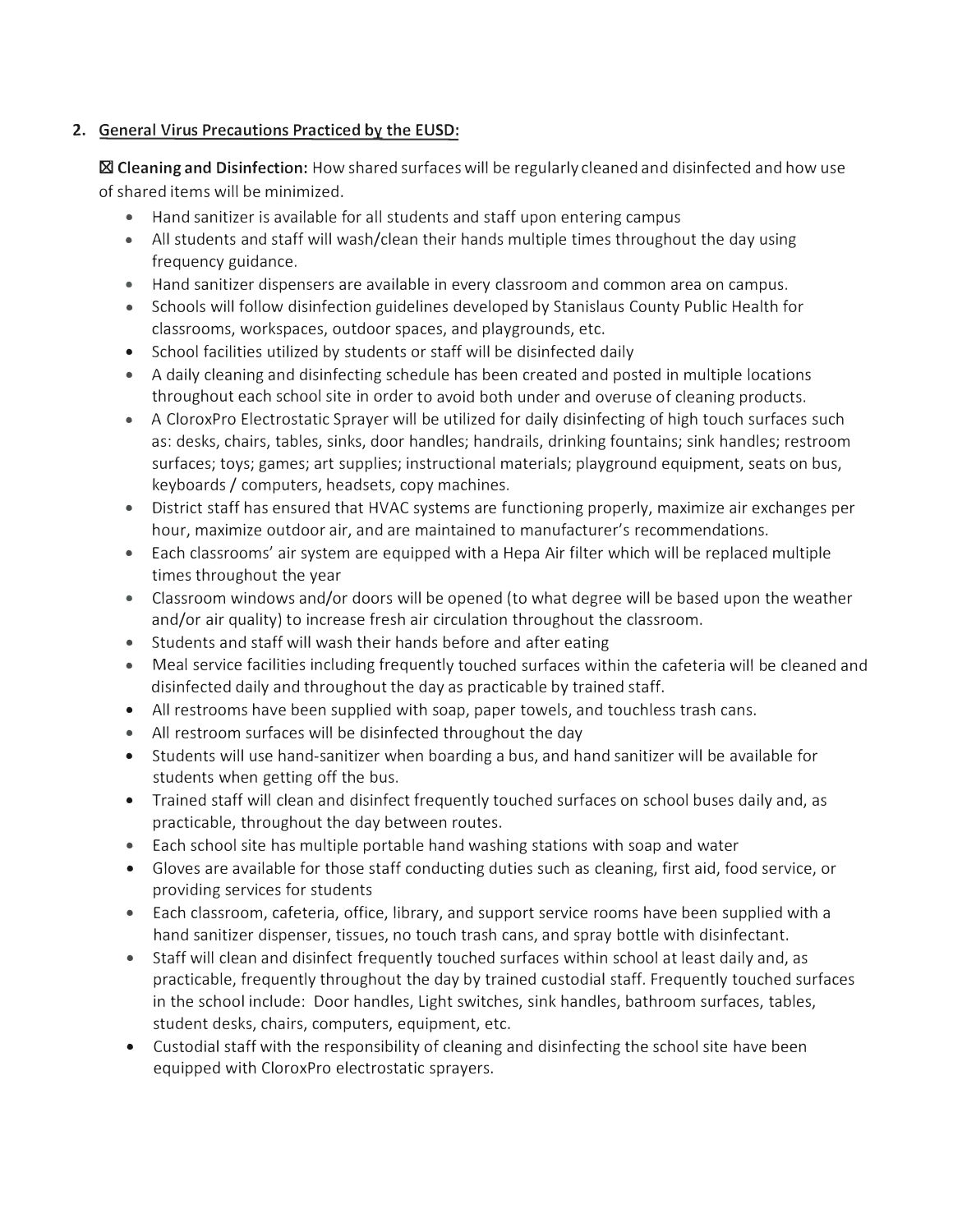# **2. General Virus Precautions Practiced by the EUSD:**

181 **Cleaning and Disinfection:** How shared surfaces will be regularly cleaned and disinfected and how use of shared items will be minimized.

- Hand sanitizer is available for all students and staff upon entering campus
- All students and staff will wash/clean their hands multiple times throughout the day using frequency guidance.
- Hand sanitizer dispensers are available in every classroom and common area on campus.
- • Schools will follow disinfection guidelines developed by Stanislaus County Public Health for classrooms, workspaces, outdoor spaces, and playgrounds, etc.
- School facilities utilized by students or staff will be disinfected daily
- A daily cleaning and disinfecting schedule has been created and posted in multiple locations throughout each school site in order to avoid both under and overuse of cleaning products.
- A CloroxPro Electrostatic Sprayer will be utilized for daily disinfecting of high touch surfaces such as: desks, chairs, tables, sinks, door handles; handrails, drinking fountains; sink handles; restroom surfaces; toys; games; art supplies; instructional materials; playground equipment, seats on bus, keyboards / computers, headsets, copy machines.
- • District staff has ensured that HVAC systems are functioning properly, maximize air exchanges per hour, maximize outdoor air, and are maintained to manufacturer's recommendations.
- Each classrooms' air system are equipped with a Hepa Air filter which will be replaced multiple times throughout the year
- Classroom windows and/or doors will be opened (to what degree will be based upon the weather and/or air quality) to increase fresh air circulation throughout the classroom.
- •Students and staff will wash their hands before and after eating
- • Meal service facilities including frequently touched surfaces within the cafeteria will be cleaned and disinfected daily and throughout the day as practicable by trained staff.
- All restrooms have been supplied with soap, paper towels, and touchless trash cans.
- All restroom surfaces will be disinfected throughout the day
- Students will use hand-sanitizer when boarding a bus, and hand sanitizer will be available for students when getting off the bus.
- Trained staff will clean and disinfect frequently touched surfaces on school buses daily and, as practicable, throughout the day between routes.
- Each school site has multiple portable hand washing stations with soap and water
- Gloves are available for those staff conducting duties such as cleaning, first aid, food service, or providing services for students
- Each classroom, cafeteria, office, library, and support service rooms have been supplied with a hand sanitizer dispenser, tissues, no touch trash cans, and spray bottle with disinfectant.
- • Staff will clean and disinfect frequently touched surfaces within school at least daily and, as practicable, frequently throughout the day by trained custodial staff. Frequently touched surfaces in the school include: Door handles, Light switches, sink handles, bathroom surfaces, tables, student desks, chairs, computers, equipment, etc.
- Custodial staff with the responsibility of cleaning and disinfecting the school site have been equipped with CloroxPro electrostatic sprayers.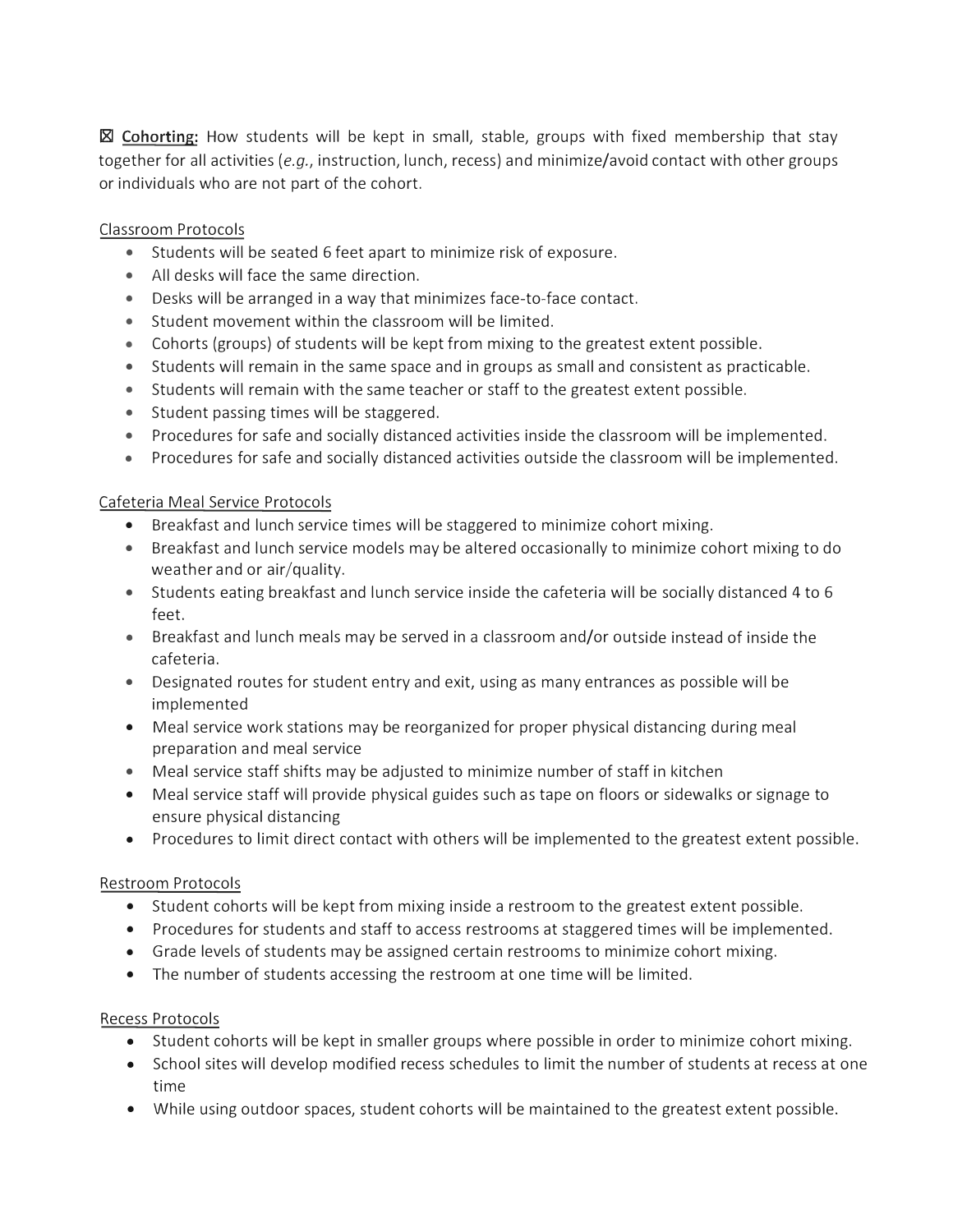**181 Cohorting:** How students will be kept in small, stable, groups with fixed membership that stay together for all activities *(e.g.,* instruction, lunch, recess) and minimize/avoid contact with other groups or individuals who are not part of the cohort.

# Classroom Protocols

- Students will be seated 6 feet apart to minimize risk of exposure.
- All desks will face the same direction.
- Desks will be arranged in a way that minimizes face-to-face contact.
- Student movement within the classroom will be limited.
- Cohorts (groups) of students will be kept from mixing to the greatest extent possible.
- Students will remain in the same space and in groups as small and consistent as practicable.
- Students will remain with the same teacher or staff to the greatest extent possible.
- Student passing times will be staggered.
- Procedures for safe and socially distanced activities inside the classroom will be implemented.
- Procedures for safe and socially distanced activities outside the classroom will be implemented.

### Cafeteria Meal Service Protocols

- Breakfast and lunch service times will be staggered to minimize cohort mixing.
- Breakfast and lunch service models may be altered occasionally to minimize cohort mixing to do weather and or air/quality.
- Students eating breakfast and lunch service inside the cafeteria will be socially distanced 4 to 6 feet.
- Breakfast and lunch meals may be served in a classroom and/or outside instead of inside the cafeteria.
- Designated routes for student entry and exit, using as many entrances as possible will be implemented
- Meal service work stations may be reorganized for proper physical distancing during meal preparation and meal service
- Meal service staff shifts may be adjusted to minimize number of staff in kitchen
- Meal service staff will provide physical guides such as tape on floors or sidewalks or signage to ensure physical distancing
- Procedures to limit direct contact with others will be implemented to the greatest extent possible.

#### Restroom Protocols

- Student cohorts will be kept from mixing inside a restroom to the greatest extent possible.
- Procedures for students and staff to access restrooms at staggered times will be implemented.
- Grade levels of students may be assigned certain restrooms to minimize cohort mixing.
- The number of students accessing the restroom at one time will be limited.

### Recess Protocols

- Student cohorts will be kept in smaller groups where possible in order to minimize cohort mixing.
- School sites will develop modified recess schedules to limit the number of students at recess at one time
- While using outdoor spaces, student cohorts will be maintained to the greatest extent possible.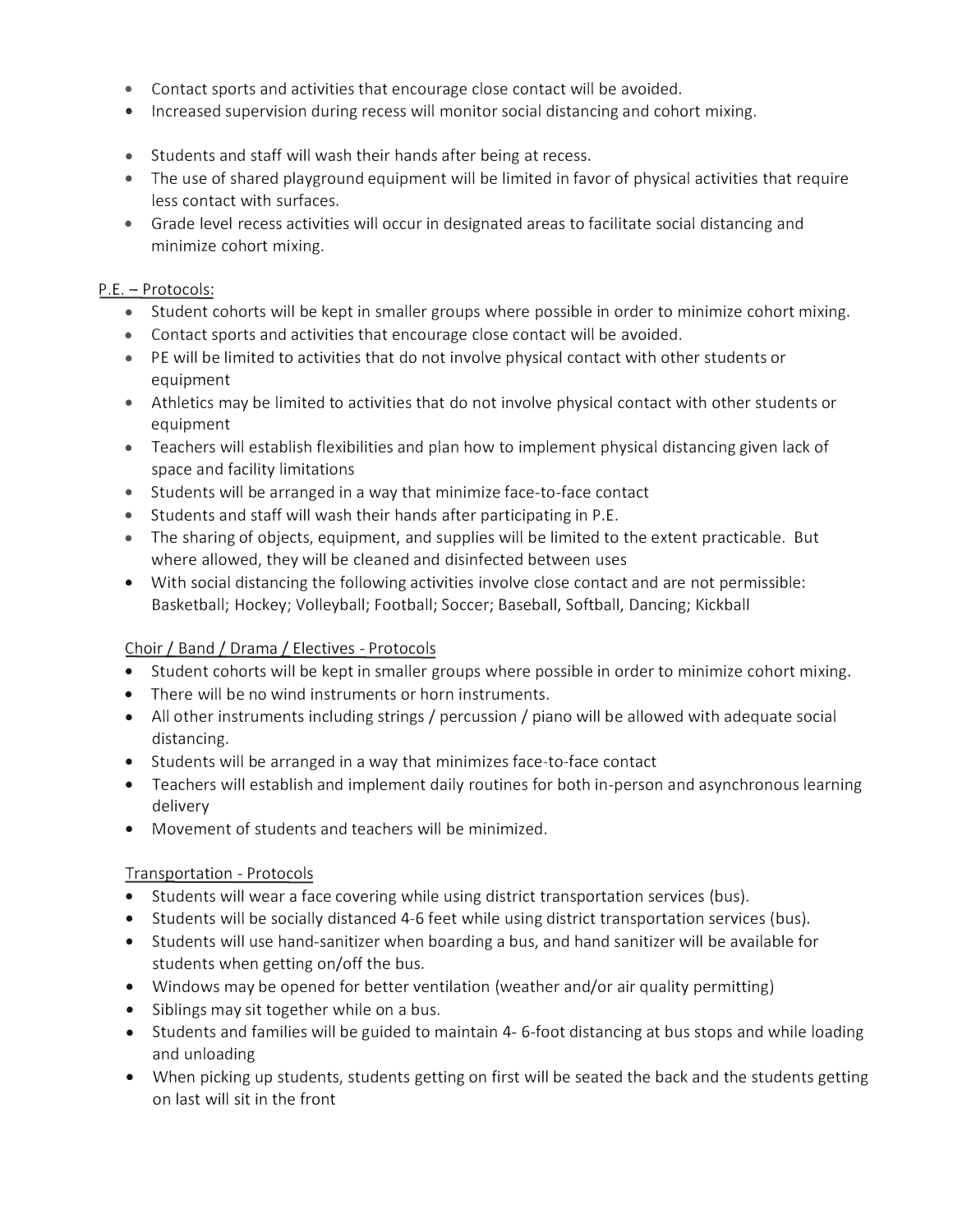- Contact sports and activities that encourage close contact will be avoided.
- Increased supervision during recess will monitor social distancing and cohort mixing.
- Students and staff will wash their hands after being at recess.
- The use of shared playground equipment will be limited in favor of physical activities that require less contact with surfaces.
- Grade level recess activities will occur in designated areas to facilitate social distancing and minimize cohort mixing.

#### P.E. - Protocols:

- Student cohorts will be kept in smaller groups where possible in order to minimize cohort mixing.
- Contact sports and activities that encourage close contact will be avoided.
- PE will be limited to activities that do not involve physical contact with other students or equipment
- Athletics may be limited to activities that do not involve physical contact with other students or equipment
- Teachers will establish flexibilities and plan how to implement physical distancing given lack of space and facility limitations
- Students will be arranged in a way that minimize face-to-face contact
- Students and staff will wash their hands after participating in P.E.
- The sharing of objects, equipment, and supplies will be limited to the extent practicable. But where allowed, they will be cleaned and disinfected between uses
- With social distancing the following activities involve close contact and are not permissible: Basketball; Hockey; Volleyball; Football; Soccer; Baseball, Softball, Dancing; Kickball

### Choir/ Band/ Drama/ Electives - Protocols

- Student cohorts will be kept in smaller groups where possible in order to minimize cohort mixing.
- There will be no wind instruments or horn instruments.
- All other instruments including strings / percussion / piano will be allowed with adequate social distancing.
- Students will be arranged in a way that minimizes face-to-face contact
- Teachers will establish and implement daily routines for both in-person and asynchronous learning delivery
- Movement of students and teachers will be minimized.

### Transportation - Protocols

- Students will wear a face covering while using district transportation services (bus).
- Students will be socially distanced 4-6 feet while using district transportation services {bus).
- Students will use hand-sanitizer when boarding a bus, and hand sanitizer will be available for students when getting on/off the bus.
- Windows may be opened for better ventilation (weather and/or air quality permitting)
- Siblings may sit together while on a bus.
- Students and families will be guided to maintain 4- 6-foot distancing at bus stops and while loading and unloading
- When picking up students, students getting on first will be seated the back and the students getting on last will sit in the front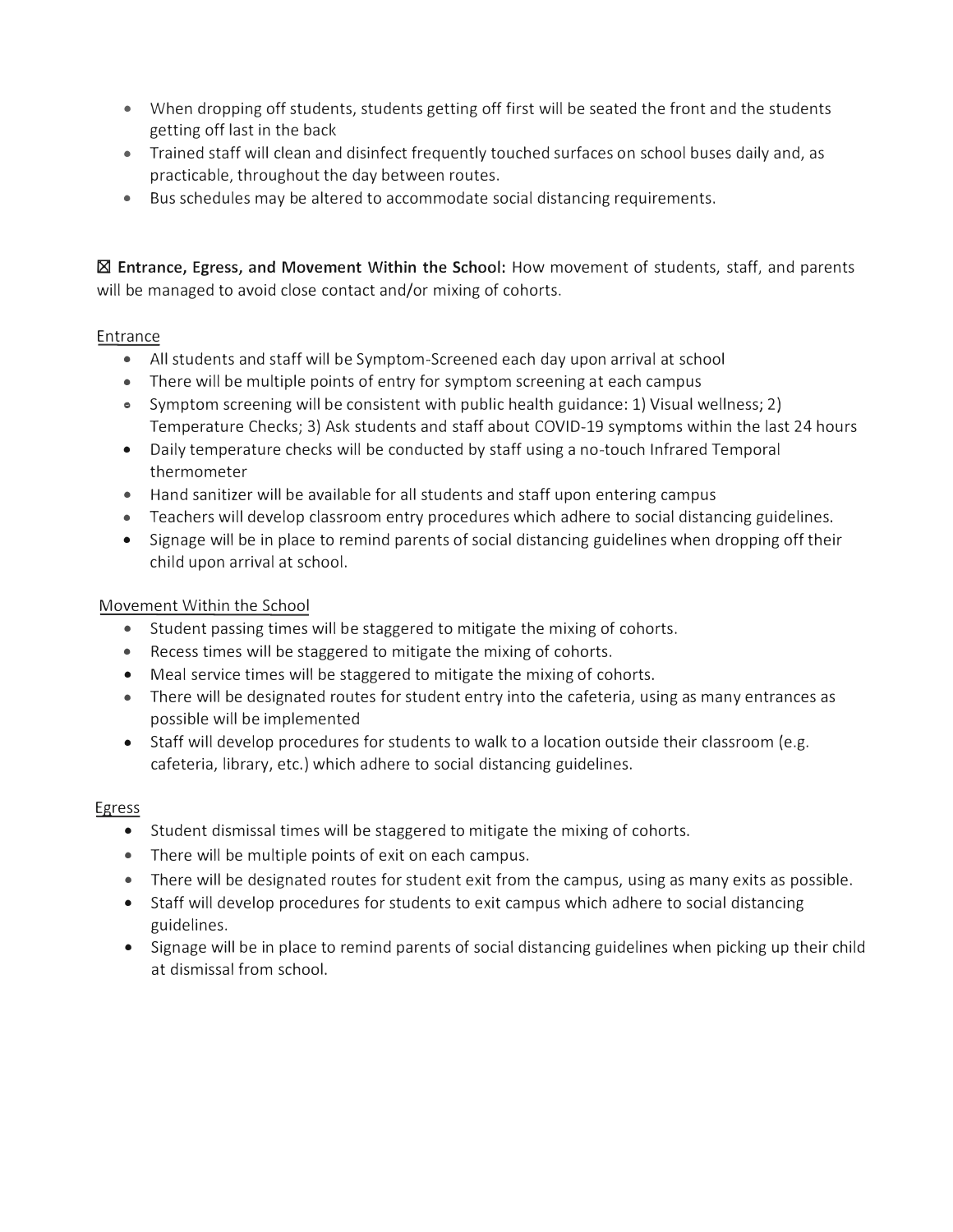- When dropping off students, students getting off first will be seated the front and the students getting off last in the back
- Trained staff will clean and disinfect frequently touched surfaces on school buses daily and, as practicable, throughout the day between routes.
- Bus schedules may be altered to accommodate social distancing requirements.

181 **Entrance, Egress, and Movement Within the School:** How movement of students, staff, and parents will be managed to avoid close contact and/or mixing of cohorts.

# Entrance

- All students and staff will be Symptom-Screened each day upon arrival at school
- There will be multiple points of entry for symptom screening at each campus
- Symptom screening will be consistent with public health guidance: 1) Visual wellness; 2) Temperature Checks; 3) Ask students and staff about COVID-19 symptoms within the last 24 hours
- Daily temperature checks will be conducted by staff using a no-touch Infrared Temporal thermometer
- Hand sanitizer will be available for all students and staff upon entering campus
- Teachers will develop classroom entry procedures which adhere to social distancing guidelines.
- Signage will be in place to remind parents of social distancing guidelines when dropping off their child upon arrival at school.

# Movement Within the School

- Student passing times will be staggered to mitigate the mixing of cohorts.
- Recess times will be staggered to mitigate the mixing of cohorts.
- Meal service times will be staggered to mitigate the mixing of cohorts.
- There will be designated routes for student entry into the cafeteria, using as many entrances as possible will be implemented
- Staff will develop procedures for students to walk to a location outside their classroom (e.g. cafeteria, library, etc.) which adhere to social distancing guidelines.

# Egress

- Student dismissal times will be staggered to mitigate the mixing of cohorts.
- There will be multiple points of exit on each campus.
- There will be designated routes for student exit from the campus, using as many exits as possible.
- Staff will develop procedures for students to exit campus which adhere to social distancing guidelines.
- Signage will be in place to remind parents of social distancing guidelines when picking up their child at dismissal from school.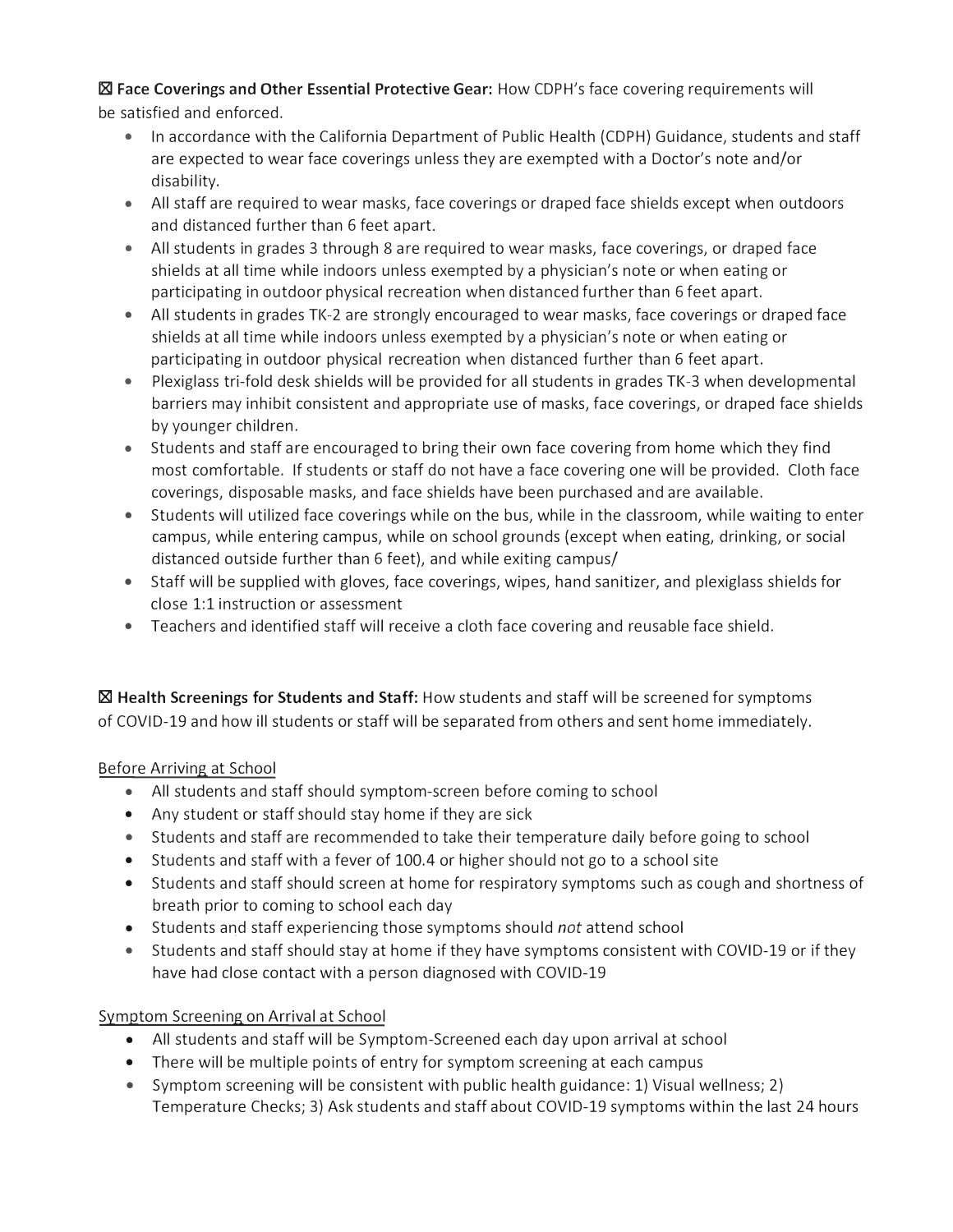# 181 **Face Coverings and Other Essential Protective Gear:** How CDP H's face covering requirements will be satisfied and enforced.

- In accordance with the California Department of Public Health (CDPH) Guidance, students and staff are expected to wear face coverings unless they are exempted with a Doctor's note and/or disability.
- All staff are required to wear masks, face coverings or draped face shields except when outdoors and distanced further than 6 feet apart.
- All students in grades 3 through 8 are required to wear masks, face coverings, or draped face shields at all time while indoors unless exempted by a physician's note or when eating or participating in outdoor physical recreation when distanced further than 6 feet apart.
- All students in grades TK-2 are strongly encouraged to wear masks, face coverings or draped face shields at all time while indoors unless exempted by a physician's note or when eating or participating in outdoor physical recreation when distanced further than 6 feet apart.
- Plexiglass tri-fold desk shields will be provided for all students in grades TK-3 when developmental barriers may inhibit consistent and appropriate use of masks, face coverings, or draped face shields by younger children.
- • Students and staff are encouraged to bring their own face covering from home which they find most comfortable. If students or staff do not have a face covering one will be provided. Cloth face coverings, disposable masks, and face shields have been purchased and are available.
- • Students will utilized face coverings while on the bus, while in the classroom, while waiting to enter campus, while entering campus, while on school grounds (except when eating, drinking, or social distanced outside further than 6 feet), and while exiting campus/
- • Staff will be supplied with gloves, face coverings, wipes, hand sanitizer, and plexiglass shields for close 1:1 instruction or assessment
- Teachers and identified staff will receive a cloth face covering and reusable face shield.

181 **Health Screenings for Students and Staff:** How students and staff will be screened for symptoms of COVID-19 and how ill students or staff will be separated from others and sent home immediately.

# Before Arriving at School

- All students and staff should symptom-screen before coming to school
- Any student or staff should stay home if they are sick
- Students and staff are recommended to take their temperature daily before going to school
- Students and staff with a fever of 100.4 or higher should not go to a school site
- • Students and staff should screen at home for respiratory symptoms such as cough and shortness of breath prior to coming to school each day
- •Students and staff experiencing those symptoms should *not* attend school
- • Students and staff should stay at home if they have symptoms consistent with COVID-19 or if they have had close contact with a person diagnosed with COVID-19

# Symptom Screening on Arrival at School

- All students and staff will be Symptom-Screened each day upon arrival at school
- There will be multiple points of entry for symptom screening at each campus
- Symptom screening will be consistent with public health guidance: 1) Visual wellness; 2) Temperature Checks; 3) Ask students and staff about COVID-19 symptoms within the last 24 hours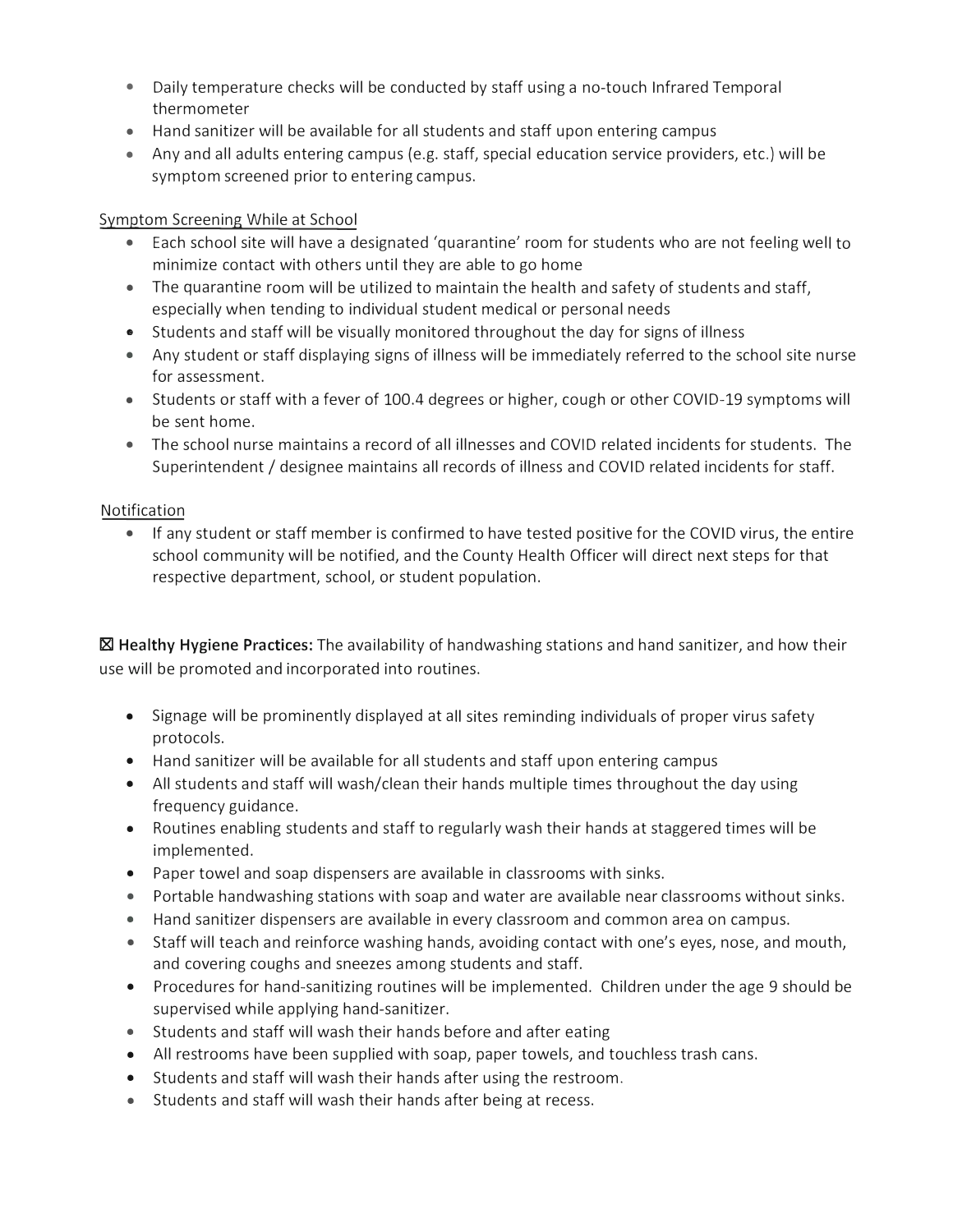- Daily temperature checks will be conducted by staff using a no-touch Infrared Temporal thermometer
- Hand sanitizer will be available for all students and staff upon entering campus
- Any and all adults entering campus (e.g. staff, special education service providers, etc.) will be symptom screened prior to entering campus.

# Symptom Screening While at School

- Each school site will have a designated 'quarantine' room for students who are not feeling well to minimize contact with others until they are able to go home
- The quarantine room will be utilized to maintain the health and safety of students and staff, especially when tending to individual student medical or personal needs
- Students and staff will be visually monitored throughout the day for signs of illness
- Any student or staff displaying signs of illness will be immediately referred to the school site nurse for assessment.
- Students or staff with a fever of 100.4 degrees or higher, cough or other COVID-19 symptoms will be sent home.
- The school nurse maintains a record of all illnesses and COVID related incidents for students. The Superintendent / designee maintains all records of illness and COVID related incidents for staff.

# Notification

• If any student or staff member is confirmed to have tested positive for the COVID virus, the entire school community will be notified, and the County Health Officer will direct next steps for that respective department, school, or student population.

181 **Healthy Hygiene Practices:** The availability of handwashing stations and hand sanitizer, and how their use will be promoted and incorporated into routines.

- Signage will be prominently displayed at all sites reminding individuals of proper virus safety protocols.
- Hand sanitizer will be available for all students and staff upon entering campus
- All students and staff will wash/clean their hands multiple times throughout the day using frequency guidance.
- Routines enabling students and staff to regularly wash their hands at staggered times will be implemented.
- Paper towel and soap dispensers are available in classrooms with sinks.
- Portable handwashing stations with soap and water are available near classrooms without sinks.
- Hand sanitizer dispensers are available in every classroom and common area on campus.
- Staff will teach and reinforce washing hands, avoiding contact with one's eyes, nose, and mouth, and covering coughs and sneezes among students and staff.
- Procedures for hand-sanitizing routines will be implemented. Children under the age 9 should be supervised while applying hand-sanitizer.
- Students and staff will wash their hands before and after eating
- All restrooms have been supplied with soap, paper towels, and touchless trash cans.
- Students and staff will wash their hands after using the restroom.
- Students and staff will wash their hands after being at recess.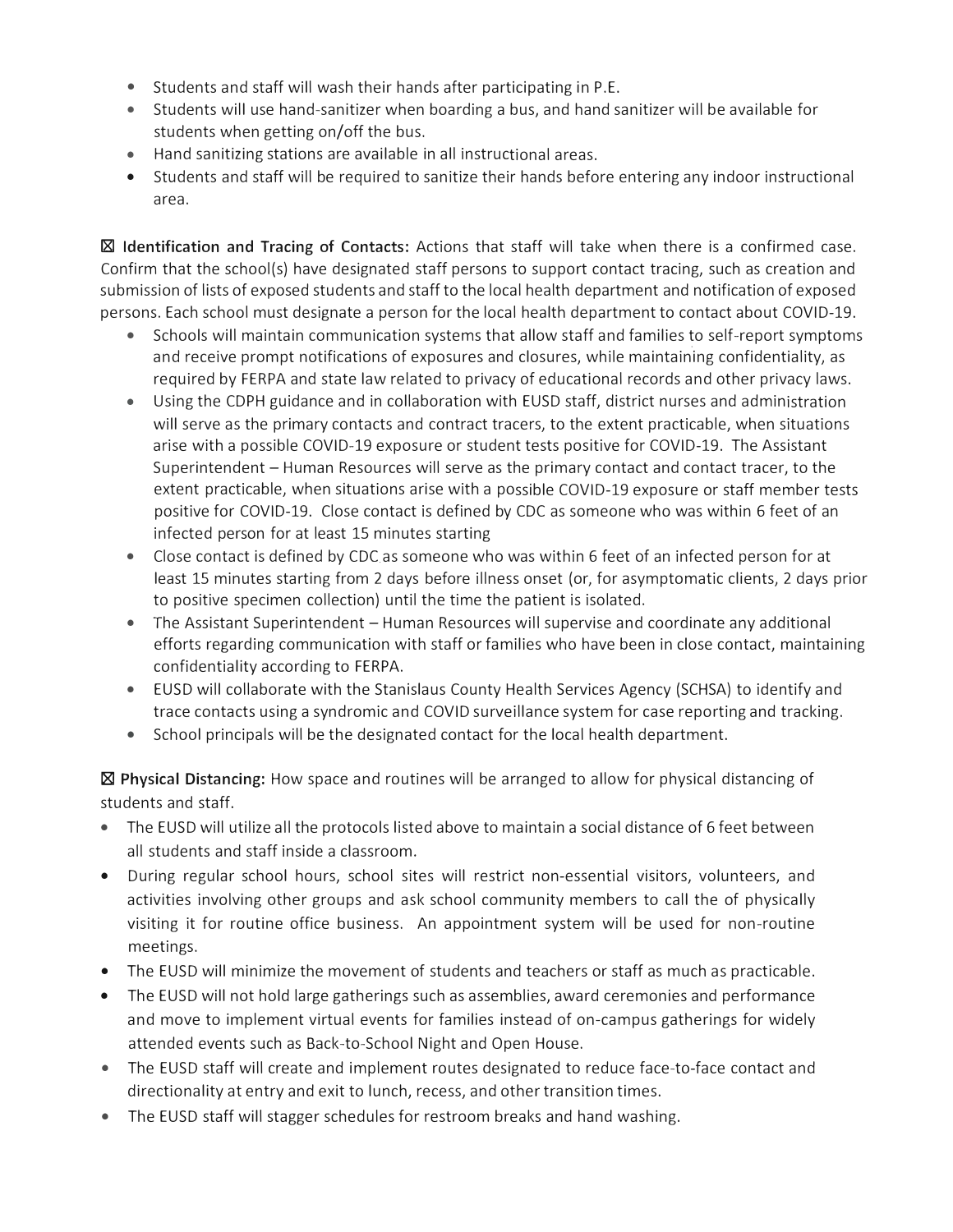- Students and staff will wash their hands after participating in P.E.
- Students will use hand-sanitizer when boarding a bus, and hand sanitizer will be available for students when getting on/off the bus.
- Hand sanitizing stations are available in all instructional areas.
- Students and staff will be required to sanitize their hands before entering any indoor instructional area.

I&! **Identification and Tracing of Contacts:** Actions that staff will take when there is a confirmed case. Confirm that the school(s) have designated staff persons to support contact tracing, such as creation and submission of lists of exposed students and staff to the local health department and notification of exposed persons. Each school must designate a person for the local health department to contact about COVID-19.

- Schools will maintain communication systems that allow staff and families to self-report symptoms and receive prompt notifications of exposures and closures, while maintaining confidentiality, as required by FERPA and state law related to privacy of educational records and other privacy laws.
- Using the CDPH guidance and in collaboration with EUSD staff, district nurses and administration will serve as the primary contacts and contract tracers, to the extent practicable, when situations arise with a possible COVID-19 exposure or student tests positive for COVID-19. The Assistant Superintendent - Human Resources will serve as the primary contact and contact tracer, to the extent practicable, when situations arise with a possible COVID-19 exposure or staff member tests positive for COVID-19. Close contact is defined by CDC as someone who was within 6 feet of an infected person for at least 15 minutes starting
- Close contact is defined by CDC as someone who was within 6 feet of an infected person for at least 15 minutes starting from 2 days before illness onset (or, for asymptomatic clients, 2 days prior to positive specimen collection) until the time the patient is isolated.
- The Assistant Superintendent Human Resources will supervise and coordinate any additional efforts regarding communication with staff or families who have been in close contact, maintaining confidentiality according to FERPA.
- EUSD will collaborate with the Stanislaus County Health Services Agency (SCHSA) to identify and trace contacts using a syndromic and COVID surveillance system for case reporting and tracking.
- School principals will be the designated contact for the local health department.

I&! **Physical Distancing:** How space and routines will be arranged to allow for physical distancing of students and staff.

- The EUSD will utilize all the protocols listed above to maintain a social distance of 6 feet between all students and staff inside a classroom.
- During regular school hours, school sites will restrict non-essential visitors, volunteers, and activities involving other groups and ask school community members to call the of physically visiting it for routine office business. An appointment system will be used for non-routine meetings.
- The EUSD will minimize the movement of students and teachers or staff as much as practicable.
- The EUSD will not hold large gatherings such as assemblies, award ceremonies and performance and move to implement virtual events for families instead of on-campus gatherings for widely attended events such as Back-to-School Night and Open House.
- The EUSD staff will create and implement routes designated to reduce face-to-face contact and directionality at entry and exit to lunch, recess, and other transition times.
- The EUSD staff will stagger schedules for restroom breaks and hand washing.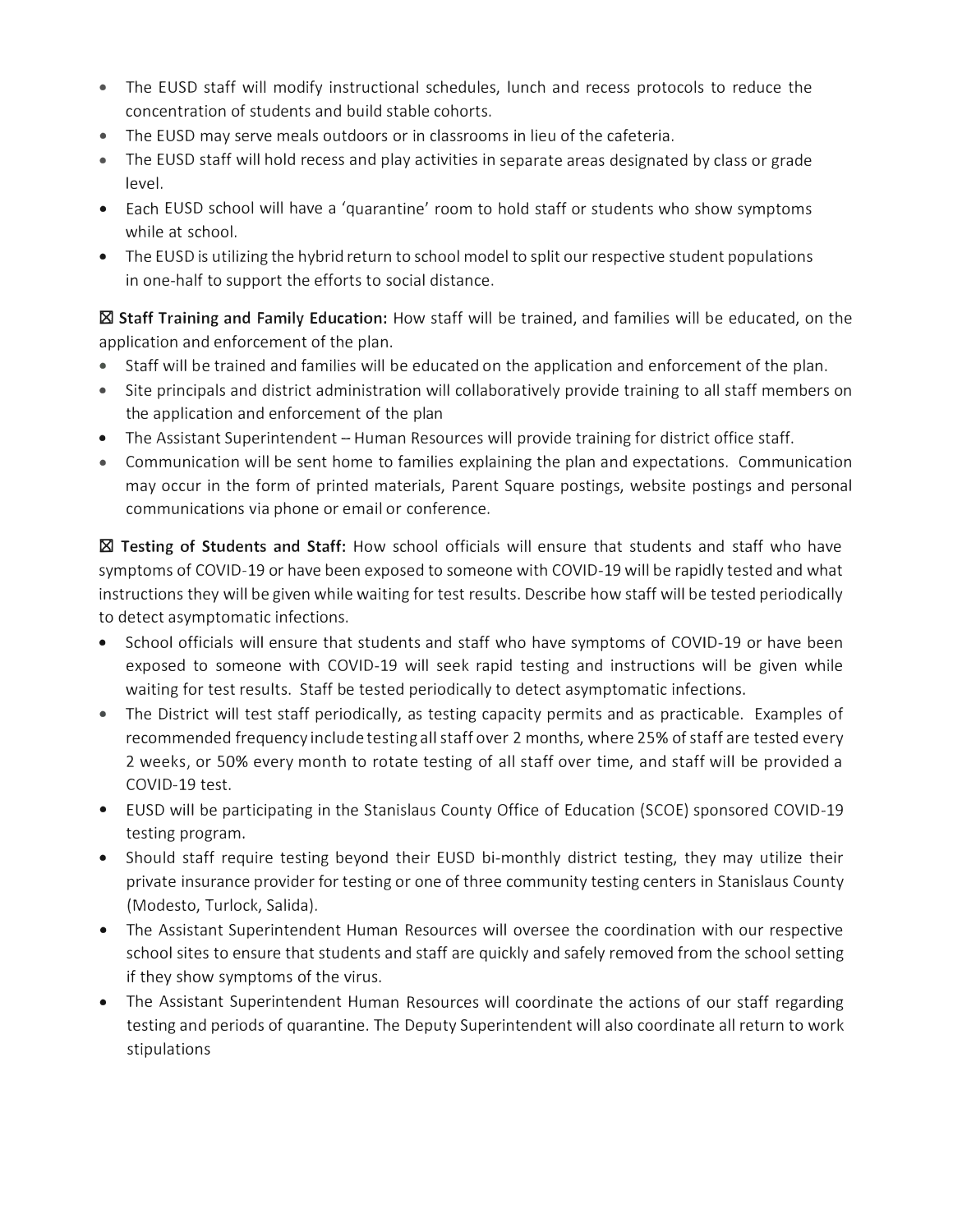- The EUSD staff will modify instructional schedules, lunch and recess protocols to reduce the concentration of students and build stable cohorts.
- •The EUSD may serve meals outdoors or in classrooms in lieu of the cafeteria.
- • The EUSD staff will hold recess and play activities in separate areas designated by class or grade level.
- Each EUSD school will have a 'quarantine' room to hold staff or students who show symptoms while at school.
- The EUSD is utilizing the hybrid return to school model to split our respective student populations in one-half to support the efforts to social distance.

181 **Staff Training and Family Education:** How staff will be trained, and families will be educated, on the application and enforcement of the plan.

- •Staff will be trained and families will be educated on the application and enforcement of the plan.
- • Site principals and district administration will collaboratively provide training to all staff members on the application and enforcement of the plan
- The Assistant Superintendent Human Resources will provide training for district office staff.
- Communication will be sent home to families explaining the plan and expectations. Communication may occur in the form of printed materials, Parent Square postings, website postings and personal communications via phone or email or conference.

181 **Testing of Students and Staff:** How school officials will ensure that students and staff who have symptoms of COVID-19 or have been exposed to someone with COVID-19 will be rapidly tested and what instructions they will be given while waiting for test results. Describe how staff will be tested periodically to detect asymptomatic infections.

- • School officials will ensure that students and staff who have symptoms of COVID-19 or have been exposed to someone with COVID-19 will seek rapid testing and instructions will be given while waiting for test results. Staff be tested periodically to detect asymptomatic infections.
- The District will test staff periodically, as testing capacity permits and as practicable. Examples of recommended frequency include testing all staff over 2 months, where 25% of staff are tested every 2 weeks, or 50% every month to rotate testing of all staff over time, and staff will be provided a COVID-19 test.
- EUSD will be participating in the Stanislaus County Office of Education {SCOE) sponsored COVID-19 testing program.
- Should staff require testing beyond their EUSD bi-monthly district testing, they may utilize their private insurance provider for testing or one of three community testing centers in Stanislaus County (Modesto, Turlock, Salida).
- The Assistant Superintendent Human Resources will oversee the coordination with our respective school sites to ensure that students and staff are quickly and safely removed from the school setting if they show symptoms of the virus.
- The Assistant Superintendent Human Resources will coordinate the actions of our staff regarding testing and periods of quarantine. The Deputy Superintendent will also coordinate all return to work stipulations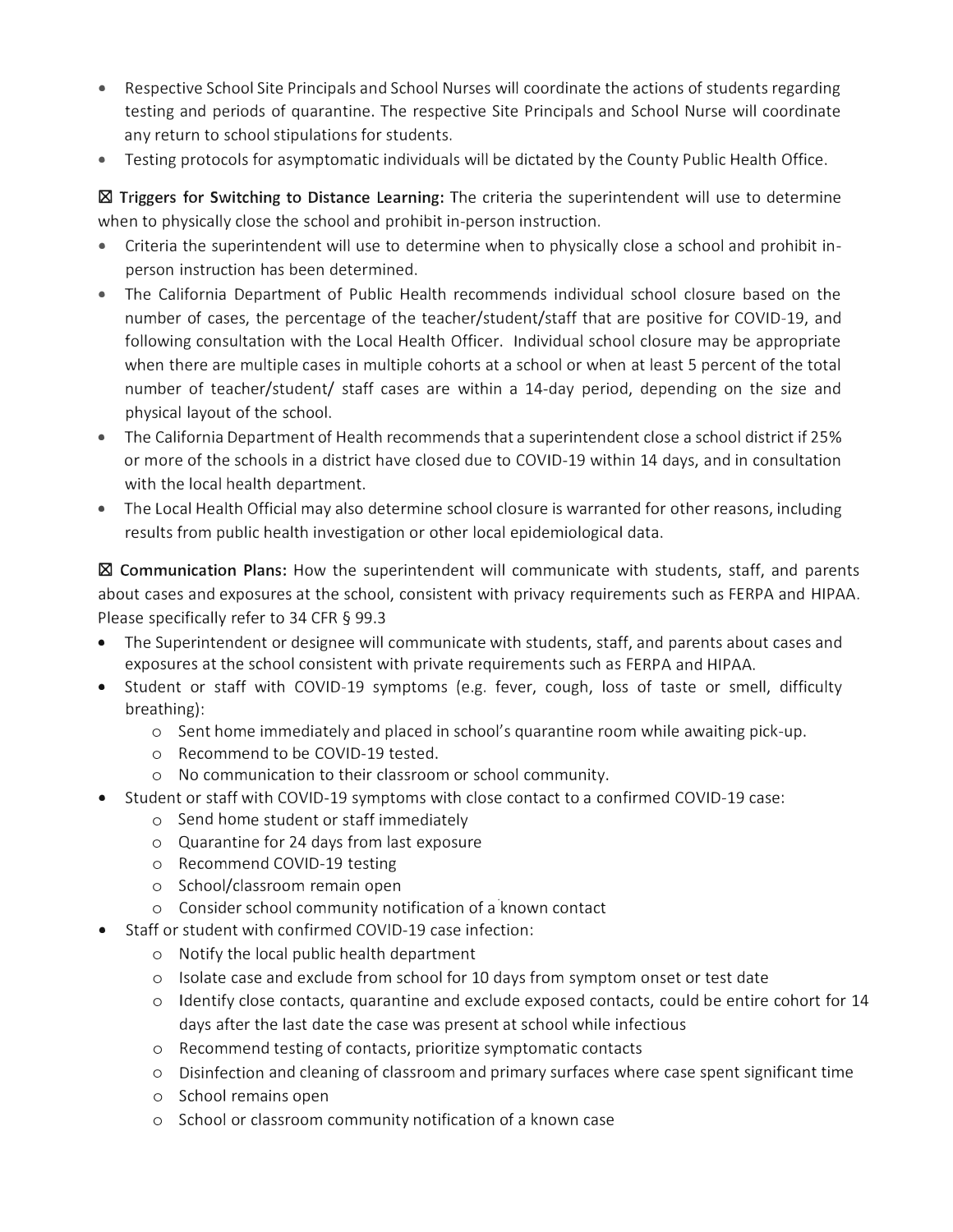- Respective School Site Principals and School Nurses will coordinate the actions of students regarding testing and periods of quarantine. The respective Site Principals and School Nurse will coordinate any return to school stipulations for students.
- Testing protocols for asymptomatic individuals will be dictated by the County Public Health Office.

181 **Triggers for Switching to Distance Learning:** The criteria the superintendent will use to determine when to physically close the school and prohibit in-person instruction.

- Criteria the superintendent will use to determine when to physically close a school and prohibit inperson instruction has been determined.
- The California Department of Public Health recommends individual school closure based on the number of cases, the percentage of the teacher/student/staff that are positive for COVID-19, and following consultation with the Local Health Officer. Individual school closure may be appropriate when there are multiple cases in multiple cohorts at a school or when at least 5 percent of the total number of teacher/student/ staff cases are within a 14-day period, depending on the size and physical layout of the school.
- The California Department of Health recommends that a superintendent close a school district if 25% or more of the schools in a district have closed due to COVID-19 within 14 days, and in consultation with the local health department.
- The Local Health Official may also determine school closure is warranted for other reasons, including results from public health investigation or other local epidemiological data.

181 **Communication Plans:** How the superintendent will communicate with students, staff, and parents about cases and exposures at the school, consistent with privacy requirements such as FERPA and HIPAA. Please specifically refer to 34 CFR § 99.3

- The Superintendent or designee will communicate with students, staff, and parents about cases and exposures at the school consistent with private requirements such as FERPA and HIPAA.
- Student or staff with COVID-19 symptoms (e.g. fever, cough, loss of taste or smell, difficulty breathing):
	- <sup>o</sup> Sent home immediately and placed in school's quarantine room while awaiting pick-up.
	- <sup>o</sup> Recommend to be COVID-19 tested.
	- <sup>o</sup> No communication to their classroom or school community.
- Student or staff with COVID-19 symptoms with close contact to a confirmed COVID-19 case:
	- <sup>o</sup> Send home student or staff immediately
	- <sup>o</sup> Quarantine for 24 days from last exposure
	- <sup>o</sup> Recommend COVID-19 testing
	- <sup>o</sup> School/classroom remain open
	- o Consider school community notification of a known contact
- Staff or student with confirmed COVID-19 case infection:
	- <sup>o</sup> Notify the local public health department
	- <sup>o</sup> Isolate case and exclude from school for 10 days from symptom onset or test date
	- <sup>o</sup> Identify close contacts, quarantine and exclude exposed contacts, could be entire cohort for 14 days after the last date the case was present at school while infectious
	- <sup>o</sup> Recommend testing of contacts, prioritize symptomatic contacts
	- <sup>o</sup> Disinfection and cleaning of classroom and primary surfaces where case spent significant time
	- <sup>o</sup> School remains open
	- <sup>o</sup> School or classroom community notification of a known case